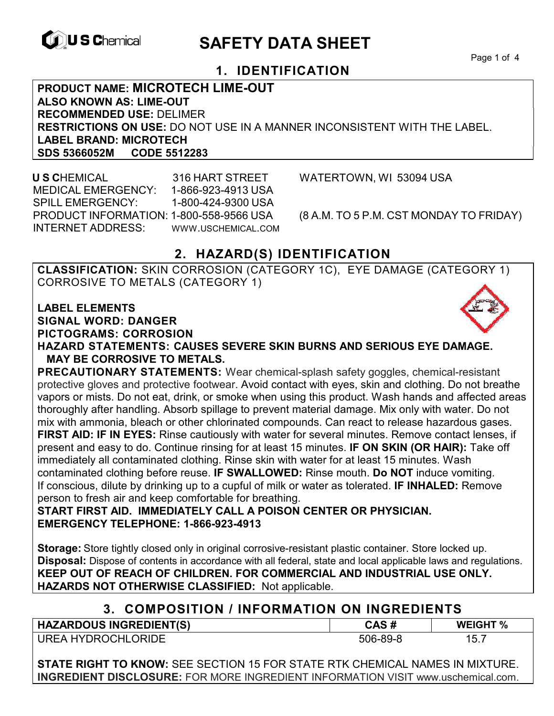

# **EXAGREM** SAFETY DATA SHEET

Page 1 of 4

## **1. IDENTIFICATION**

**PRODUCT NAME: MICROTECH LIME-OUT ALSO KNOWN AS: LIME-OUT RECOMMENDED USE:** DELIMER **RESTRICTIONS ON USE:** DO NOT USE IN A MANNER INCONSISTENT WITH THE LABEL. **LABEL BRAND: MICROTECH SDS 5366052M CODE 5512283** 

 **U S C**HEMICAL 316 HART STREET WATERTOWN, WI 53094 USA MEDICAL EMERGENCY: 1-866-923-4913 USA SPILL EMERGENCY: 1-800-424-9300 USA PRODUCT INFORMATION: 1-800-558-9566 USA (8 A.M. TO 5 P.M. CST MONDAY TO FRIDAY) INTERNET ADDRESS: WWW.USCHEMICAL.COM

## **2. HAZARD(S) IDENTIFICATION**

**CLASSIFICATION:** SKIN CORROSION (CATEGORY 1C), EYE DAMAGE (CATEGORY 1) CORROSIVE TO METALS (CATEGORY 1)

#### **LABEL ELEMENTS**

**SIGNAL WORD: DANGER**

**PICTOGRAMS: CORROSION**



**HAZARD STATEMENTS: CAUSES SEVERE SKIN BURNS AND SERIOUS EYE DAMAGE. MAY BE CORROSIVE TO METALS.** 

**PRECAUTIONARY STATEMENTS:** Wear chemical-splash safety goggles, chemical-resistant protective gloves and protective footwear. Avoid contact with eyes, skin and clothing. Do not breathe vapors or mists. Do not eat, drink, or smoke when using this product. Wash hands and affected areas thoroughly after handling. Absorb spillage to prevent material damage. Mix only with water. Do not mix with ammonia, bleach or other chlorinated compounds. Can react to release hazardous gases. **FIRST AID: IF IN EYES:** Rinse cautiously with water for several minutes. Remove contact lenses, if present and easy to do. Continue rinsing for at least 15 minutes. **IF ON SKIN (OR HAIR):** Take off immediately all contaminated clothing. Rinse skin with water for at least 15 minutes. Wash contaminated clothing before reuse. **IF SWALLOWED:** Rinse mouth. **Do NOT** induce vomiting. If conscious, dilute by drinking up to a cupful of milk or water as tolerated. **IF INHALED:** Remove

person to fresh air and keep comfortable for breathing.

**START FIRST AID. IMMEDIATELY CALL A POISON CENTER OR PHYSICIAN. EMERGENCY TELEPHONE: 1-866-923-4913** 

**Storage:** Store tightly closed only in original corrosive-resistant plastic container. Store locked up. **Disposal:** Dispose of contents in accordance with all federal, state and local applicable laws and regulations. **KEEP OUT OF REACH OF CHILDREN. FOR COMMERCIAL AND INDUSTRIAL USE ONLY. HAZARDS NOT OTHERWISE CLASSIFIED:** Not applicable.

## **3. COMPOSITION / INFORMATION ON INGREDIENTS**

| <b>HAZARDOUS INGREDIENT(S)</b> | CAS #    | <b>WEIGHT %</b> |
|--------------------------------|----------|-----------------|
| UREA HYDROCHLORIDE             | 506-89-8 | 15.1            |

**STATE RIGHT TO KNOW:** SEE SECTION 15 FOR STATE RTK CHEMICAL NAMES IN MIXTURE. **INGREDIENT DISCLOSURE:** FOR MORE INGREDIENT INFORMATION VISIT www.uschemical.com.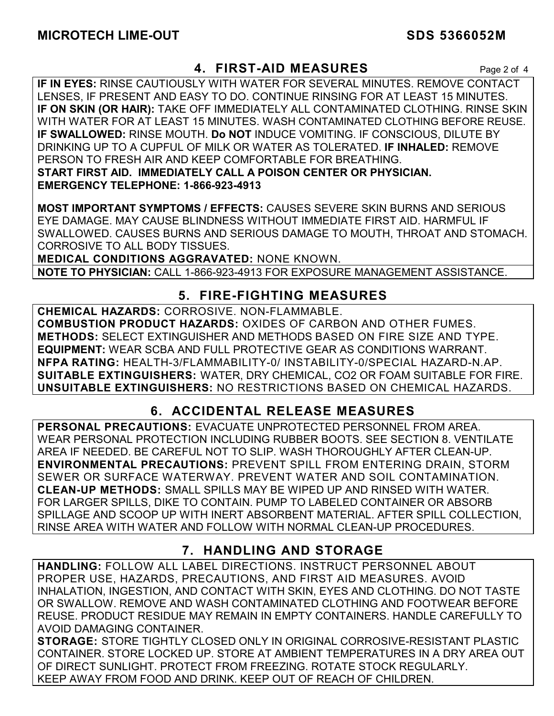## **4. FIRST-AID MEASURES** Page 2 of 4

**IF IN EYES:** RINSE CAUTIOUSLY WITH WATER FOR SEVERAL MINUTES. REMOVE CONTACT LENSES, IF PRESENT AND EASY TO DO. CONTINUE RINSING FOR AT LEAST 15 MINUTES. **IF ON SKIN (OR HAIR):** TAKE OFF IMMEDIATELY ALL CONTAMINATED CLOTHING. RINSE SKIN WITH WATER FOR AT LEAST 15 MINUTES. WASH CONTAMINATED CLOTHING BEFORE REUSE. **IF SWALLOWED:** RINSE MOUTH. **Do NOT** INDUCE VOMITING. IF CONSCIOUS, DILUTE BY DRINKING UP TO A CUPFUL OF MILK OR WATER AS TOLERATED. **IF INHALED:** REMOVE PERSON TO FRESH AIR AND KEEP COMFORTABLE FOR BREATHING. **START FIRST AID. IMMEDIATELY CALL A POISON CENTER OR PHYSICIAN. EMERGENCY TELEPHONE: 1-866-923-4913**

**MOST IMPORTANT SYMPTOMS / EFFECTS:** CAUSES SEVERE SKIN BURNS AND SERIOUS EYE DAMAGE. MAY CAUSE BLINDNESS WITHOUT IMMEDIATE FIRST AID. HARMFUL IF SWALLOWED. CAUSES BURNS AND SERIOUS DAMAGE TO MOUTH, THROAT AND STOMACH. CORROSIVE TO ALL BODY TISSUES.

**MEDICAL CONDITIONS AGGRAVATED:** NONE KNOWN.

**NOTE TO PHYSICIAN:** CALL 1-866-923-4913 FOR EXPOSURE MANAGEMENT ASSISTANCE.

## **5. FIRE-FIGHTING MEASURES**

**CHEMICAL HAZARDS:** CORROSIVE. NON-FLAMMABLE. **COMBUSTION PRODUCT HAZARDS:** OXIDES OF CARBON AND OTHER FUMES. **METHODS:** SELECT EXTINGUISHER AND METHODS BASED ON FIRE SIZE AND TYPE. **EQUIPMENT:** WEAR SCBA AND FULL PROTECTIVE GEAR AS CONDITIONS WARRANT. **NFPA RATING:** HEALTH-3/FLAMMABILITY-0/ INSTABILITY-0/SPECIAL HAZARD-N.AP. **SUITABLE EXTINGUISHERS:** WATER, DRY CHEMICAL, CO2 OR FOAM SUITABLE FOR FIRE. **UNSUITABLE EXTINGUISHERS:** NO RESTRICTIONS BASED ON CHEMICAL HAZARDS.

## **6. ACCIDENTAL RELEASE MEASURES**

**PERSONAL PRECAUTIONS:** EVACUATE UNPROTECTED PERSONNEL FROM AREA. WEAR PERSONAL PROTECTION INCLUDING RUBBER BOOTS. SEE SECTION 8. VENTILATE AREA IF NEEDED. BE CAREFUL NOT TO SLIP. WASH THOROUGHLY AFTER CLEAN-UP. **ENVIRONMENTAL PRECAUTIONS:** PREVENT SPILL FROM ENTERING DRAIN, STORM SEWER OR SURFACE WATERWAY. PREVENT WATER AND SOIL CONTAMINATION. **CLEAN-UP METHODS:** SMALL SPILLS MAY BE WIPED UP AND RINSED WITH WATER. FOR LARGER SPILLS, DIKE TO CONTAIN. PUMP TO LABELED CONTAINER OR ABSORB SPILLAGE AND SCOOP UP WITH INERT ABSORBENT MATERIAL. AFTER SPILL COLLECTION, RINSE AREA WITH WATER AND FOLLOW WITH NORMAL CLEAN-UP PROCEDURES.

## **7. HANDLING AND STORAGE**

**HANDLING:** FOLLOW ALL LABEL DIRECTIONS. INSTRUCT PERSONNEL ABOUT PROPER USE, HAZARDS, PRECAUTIONS, AND FIRST AID MEASURES. AVOID INHALATION, INGESTION, AND CONTACT WITH SKIN, EYES AND CLOTHING. DO NOT TASTE OR SWALLOW. REMOVE AND WASH CONTAMINATED CLOTHING AND FOOTWEAR BEFORE REUSE. PRODUCT RESIDUE MAY REMAIN IN EMPTY CONTAINERS. HANDLE CAREFULLY TO AVOID DAMAGING CONTAINER.

**STORAGE:** STORE TIGHTLY CLOSED ONLY IN ORIGINAL CORROSIVE-RESISTANT PLASTIC CONTAINER. STORE LOCKED UP. STORE AT AMBIENT TEMPERATURES IN A DRY AREA OUT OF DIRECT SUNLIGHT. PROTECT FROM FREEZING. ROTATE STOCK REGULARLY. KEEP AWAY FROM FOOD AND DRINK. KEEP OUT OF REACH OF CHILDREN.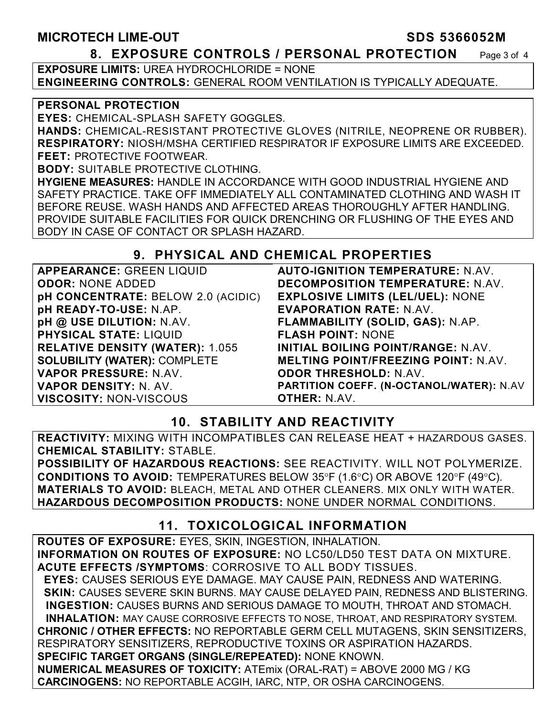### MICROTECH LIME-OUT SDS 5366052M

#### **8. EXPOSURE CONTROLS / PERSONAL PROTECTION** Page 3 of 4

**EXPOSURE LIMITS: URFA HYDROCHLORIDE = NONE ENGINEERING CONTROLS:** GENERAL ROOM VENTILATION IS TYPICALLY ADEQUATE.

#### **PERSONAL PROTECTION**

**EYES:** CHEMICAL-SPLASH SAFETY GOGGLES.

**HANDS:** CHEMICAL-RESISTANT PROTECTIVE GLOVES (NITRILE, NEOPRENE OR RUBBER). **RESPIRATORY:** NIOSH/MSHA CERTIFIED RESPIRATOR IF EXPOSURE LIMITS ARE EXCEEDED. **FEET:** PROTECTIVE FOOTWEAR.

**BODY:** SUITABLE PROTECTIVE CLOTHING.

**HYGIENE MEASURES:** HANDLE IN ACCORDANCE WITH GOOD INDUSTRIAL HYGIENE AND SAFETY PRACTICE. TAKE OFF IMMEDIATELY ALL CONTAMINATED CLOTHING AND WASH IT BEFORE REUSE. WASH HANDS AND AFFECTED AREAS THOROUGHLY AFTER HANDLING. PROVIDE SUITABLE FACILITIES FOR QUICK DRENCHING OR FLUSHING OF THE EYES AND BODY IN CASE OF CONTACT OR SPLASH HAZARD.

## **9. PHYSICAL AND CHEMICAL PROPERTIES**

| <b>APPEARANCE: GREEN LIQUID</b>           | <b>AUTO-IGN</b>   |
|-------------------------------------------|-------------------|
| <b>ODOR: NONE ADDED</b>                   | <b>DECOMPO</b>    |
| <b>pH CONCENTRATE: BELOW 2.0 (ACIDIC)</b> | <b>EXPLOSIV</b>   |
| pH READY-TO-USE: N.AP.                    | <b>EVAPORA</b>    |
| pH @ USE DILUTION: N.AV.                  | <b>FLAMMAB</b>    |
| <b>PHYSICAL STATE: LIQUID</b>             | <b>FLASH PC</b>   |
| <b>RELATIVE DENSITY (WATER): 1.055</b>    | <b>INITIAL BO</b> |
| <b>SOLUBILITY (WATER): COMPLETE</b>       | <b>MELTING</b>    |
| VAPOR PRESSURE: N.AV.                     | <b>ODOR THI</b>   |
| VAPOR DENSITY: N. AV.                     | <b>PARTITION</b>  |
| <b>VISCOSITY: NON-VISCOUS</b>             | <b>OTHER: N</b>   |

**IITION TEMPERATURE:** N.AV. **DECOMPOSITION TEMPERATURE:** N.AV. *FE LIMITS (LEL/UEL): NONE* **EVAPORATION RATE:** N.AV. **FLAMMABILITY (SOLID, GAS):** N.AP. **FLASH POINT:** NONE **OILING POINT/RANGE: N.AV. POINT/FREEZING POINT: N.AV. ODOR THRESHOLD:** N.AV. **PARTITION COEFF. (N-OCTANOL/WATER):** N.AV *AV.* 

## **10. STABILITY AND REACTIVITY**

**REACTIVITY:** MIXING WITH INCOMPATIBLES CAN RELEASE HEAT + HAZARDOUS GASES. **CHEMICAL STABILITY:** STABLE.

**POSSIBILITY OF HAZARDOUS REACTIONS:** SEE REACTIVITY. WILL NOT POLYMERIZE. **CONDITIONS TO AVOID:** TEMPERATURES BELOW 35°F (1.6°C) OR ABOVE 120°F (49°C). **MATERIALS TO AVOID:** BLEACH, METAL AND OTHER CLEANERS. MIX ONLY WITH WATER. **HAZARDOUS DECOMPOSITION PRODUCTS:** NONE UNDER NORMAL CONDITIONS.

## **11. TOXICOLOGICAL INFORMATION**

**ROUTES OF EXPOSURE:** EYES, SKIN, INGESTION, INHALATION. **INFORMATION ON ROUTES OF EXPOSURE:** NO LC50/LD50 TEST DATA ON MIXTURE. **ACUTE EFFECTS /SYMPTOMS**: CORROSIVE TO ALL BODY TISSUES.  **EYES:** CAUSES SERIOUS EYE DAMAGE. MAY CAUSE PAIN, REDNESS AND WATERING.  **SKIN:** CAUSES SEVERE SKIN BURNS. MAY CAUSE DELAYED PAIN, REDNESS AND BLISTERING. **INGESTION:** CAUSES BURNS AND SERIOUS DAMAGE TO MOUTH, THROAT AND STOMACH. **INHALATION:** MAY CAUSE CORROSIVE EFFECTS TO NOSE, THROAT, AND RESPIRATORY SYSTEM. **CHRONIC / OTHER EFFECTS:** NO REPORTABLE GERM CELL MUTAGENS, SKIN SENSITIZERS, RESPIRATORY SENSITIZERS, REPRODUCTIVE TOXINS OR ASPIRATION HAZARDS. **SPECIFIC TARGET ORGANS (SINGLE/REPEATED):** NONE KNOWN. **NUMERICAL MEASURES OF TOXICITY:** ATEmix (ORAL-RAT) = ABOVE 2000 MG / KG **CARCINOGENS:** NO REPORTABLE ACGIH, IARC, NTP, OR OSHA CARCINOGENS.